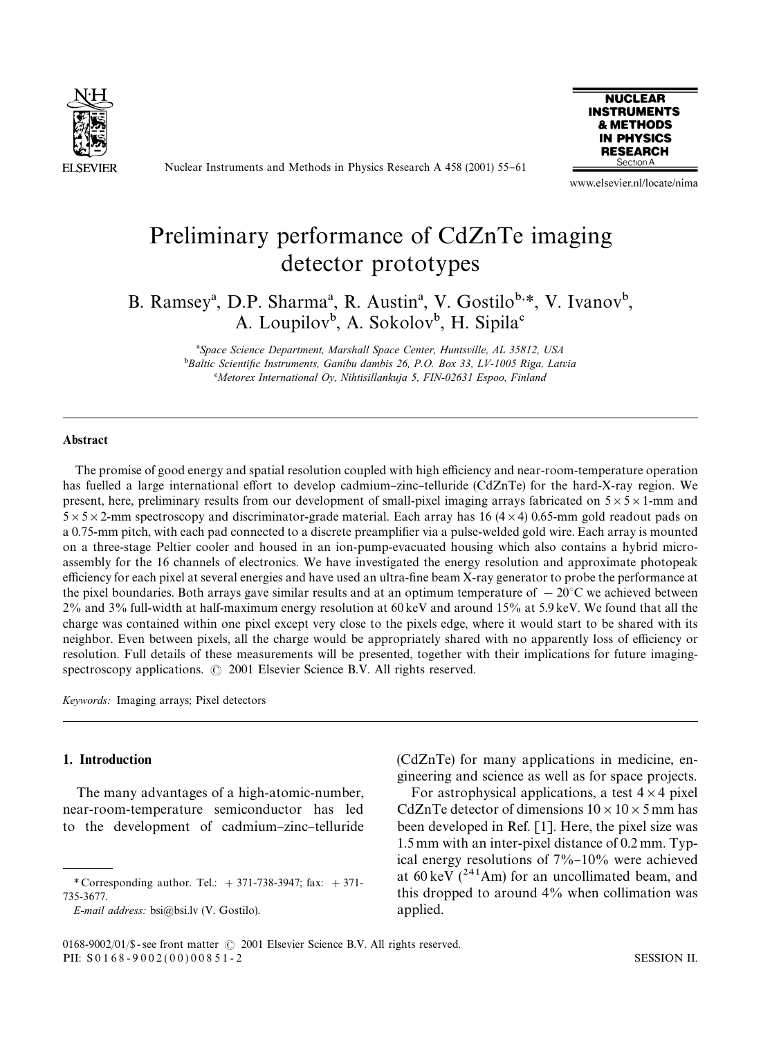

Nuclear Instruments and Methods in Physics Research A 458 (2001) 55-61



www.elsevier.nl/locate/nima

# Preliminary performance of CdZnTe imaging detector prototypes

B. Ramsey<sup>a</sup>, D.P. Sharma<sup>a</sup>, R. Austin<sup>a</sup>, V. Gostilo<sup>b,\*</sup>, V. Ivanov<sup>b</sup>, A. Loupilov<sup>b</sup>, A. Sokolov<sup>b</sup>, H. Sipila<sup>c</sup>

> !*Space Science Department, Marshall Space Center, Huntsville, AL 35812, USA* <sup>b</sup>Baltic Scientific Instruments, Ganibu dambis 26, P.O. Box 33, LV-1005 Riga, Latvia #*Metorex International Oy, Nihtisillankuja 5, FIN-02631 Espoo, Finland*

# Abstract

The promise of good energy and spatial resolution coupled with high efficiency and near-room-temperature operation has fuelled a large international effort to develop cadmium-zinc-telluride (CdZnTe) for the hard-X-ray region. We present, here, preliminary results from our development of small-pixel imaging arrays fabricated on  $5 \times 5 \times 1$ -mm and  $5 \times 5 \times 2$ -mm spectroscopy and discriminator-grade material. Each array has 16 (4  $\times$  4) 0.65-mm gold readout pads on a 0.75-mm pitch, with each pad connected to a discrete preamplifier via a pulse-welded gold wire. Each array is mounted on a three-stage Peltier cooler and housed in an ion-pump-evacuated housing which also contains a hybrid microassembly for the 16 channels of electronics. We have investigated the energy resolution and approximate photopeak efficiency for each pixel at several energies and have used an ultra-fine beam X-ray generator to probe the performance at the pixel boundaries. Both arrays gave similar results and at an optimum temperature of  $-20^{\circ}$ C we achieved between 2% and 3% full-width at half-maximum energy resolution at 60 keV and around 15% at 5.9 keV. We found that all the charge was contained within one pixel except very close to the pixels edge, where it would start to be shared with its neighbor. Even between pixels, all the charge would be appropriately shared with no apparently loss of efficiency or resolution. Full details of these measurements will be presented, together with their implications for future imagingspectroscopy applications.  $\odot$  2001 Elsevier Science B.V. All rights reserved.

*Keywords:* Imaging arrays; Pixel detectors

## 1. Introduction

The many advantages of a high-atomic-number, near-room-temperature semiconductor has led to the development of cadmium-zinc-telluride

*E-mail address:* bsi@bsi.lv (V. Gostilo).

(CdZnTe) for many applications in medicine, engineering and science as well as for space projects.

For astrophysical applications, a test  $4 \times 4$  pixel CdZnTe detector of dimensions  $10 \times 10 \times 5$  mm has been developed in Ref. [1]. Here, the pixel size was 1.5 mm with an inter-pixel distance of 0.2 mm. Typical energy resolutions of  $7\%$ – $10\%$  were achieved at  $60 \text{ keV}$  ( $^{241}$ Am) for an uncollimated beam, and this dropped to around 4% when collimation was applied.

*<sup>\*</sup>* Corresponding author. Tel.: #371-738-3947; fax: #371- 735-3677.

<sup>0168-9002/01/\$ -</sup> see front matter  $\odot$  2001 Elsevier Science B.V. All rights reserved. PII: S 0 1 6 8 - 9 0 0 2 ( 0 0 ) 0 0 8 5 1 - 2 SESSION II.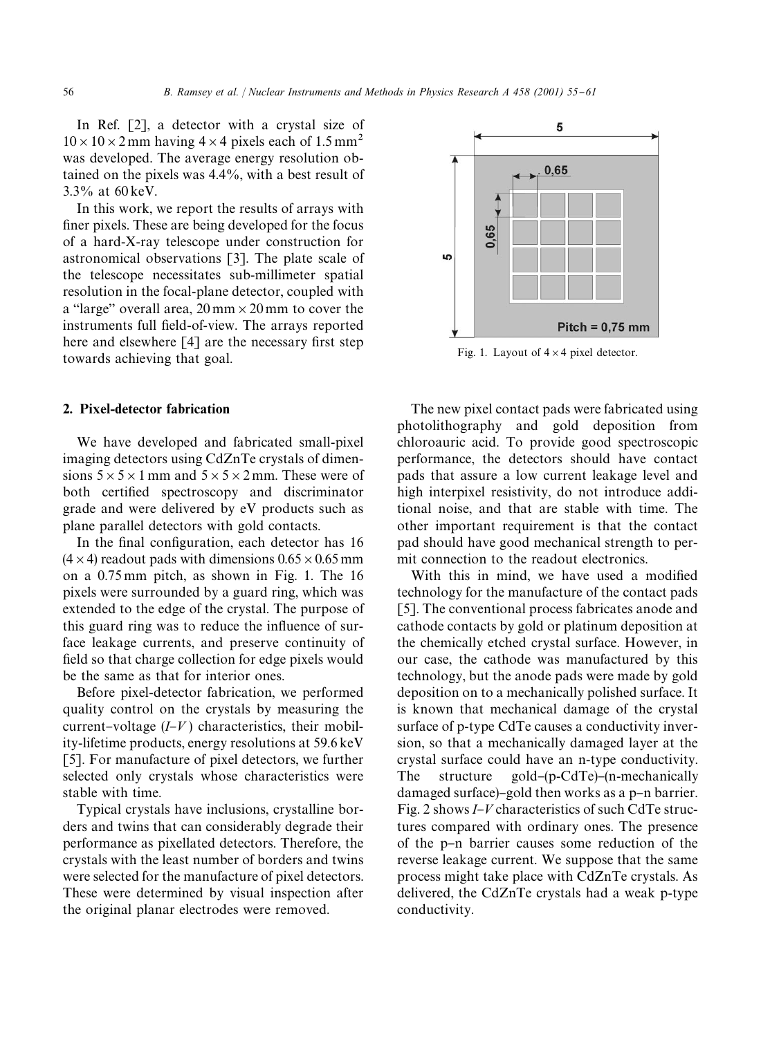In Ref. [2], a detector with a crystal size of  $10 \times 10 \times 2$  mm having  $4 \times 4$  pixels each of 1.5 mm<sup>2</sup> was developed. The average energy resolution obtained on the pixels was 4.4%, with a best result of 3.3% at 60 keV.

In this work, we report the results of arrays with finer pixels. These are being developed for the focus of a hard-X-ray telescope under construction for astronomical observations [3]. The plate scale of the telescope necessitates sub-millimeter spatial resolution in the focal-plane detector, coupled with a "large" overall area,  $20 \text{ mm} \times 20 \text{ mm}$  to cover the instruments full field-of-view. The arrays reported here and elsewhere  $\lceil 4 \rceil$  are the necessary first step towards achieving that goal.

# 2. Pixel-detector fabrication

We have developed and fabricated small-pixel imaging detectors using CdZnTe crystals of dimensions  $5 \times 5 \times 1$  mm and  $5 \times 5 \times 2$  mm. These were of both certified spectroscopy and discriminator grade and were delivered by eV products such as plane parallel detectors with gold contacts.

In the final configuration, each detector has 16  $(4 \times 4)$  readout pads with dimensions  $0.65 \times 0.65$  mm on a 0.75 mm pitch, as shown in Fig. 1. The 16 pixels were surrounded by a guard ring, which was extended to the edge of the crystal. The purpose of this guard ring was to reduce the influence of surface leakage currents, and preserve continuity of field so that charge collection for edge pixels would be the same as that for interior ones.

Before pixel-detector fabrication, we performed quality control on the crystals by measuring the current–voltage  $(I-V)$  characteristics, their mobility-lifetime products, energy resolutions at 59.6 keV [5]. For manufacture of pixel detectors, we further selected only crystals whose characteristics were stable with time.

Typical crystals have inclusions, crystalline borders and twins that can considerably degrade their performance as pixellated detectors. Therefore, the crystals with the least number of borders and twins were selected for the manufacture of pixel detectors. These were determined by visual inspection after the original planar electrodes were removed.



Fig. 1. Layout of  $4 \times 4$  pixel detector.

The new pixel contact pads were fabricated using photolithography and gold deposition from chloroauric acid. To provide good spectroscopic performance, the detectors should have contact pads that assure a low current leakage level and high interpixel resistivity, do not introduce additional noise, and that are stable with time. The other important requirement is that the contact pad should have good mechanical strength to permit connection to the readout electronics.

With this in mind, we have used a modified technology for the manufacture of the contact pads [5]. The conventional process fabricates anode and cathode contacts by gold or platinum deposition at the chemically etched crystal surface. However, in our case, the cathode was manufactured by this technology, but the anode pads were made by gold deposition on to a mechanically polished surface. It is known that mechanical damage of the crystal surface of p-type CdTe causes a conductivity inversion, so that a mechanically damaged layer at the crystal surface could have an n-type conductivity. The structure gold- $(p$ -CdTe)- $(n$ -mechanically damaged surface)-gold then works as a  $p$ -n barrier. Fig. 2 shows *I*-*V* characteristics of such CdTe structures compared with ordinary ones. The presence of the p-n barrier causes some reduction of the reverse leakage current. We suppose that the same process might take place with CdZnTe crystals. As delivered, the CdZnTe crystals had a weak p-type conductivity.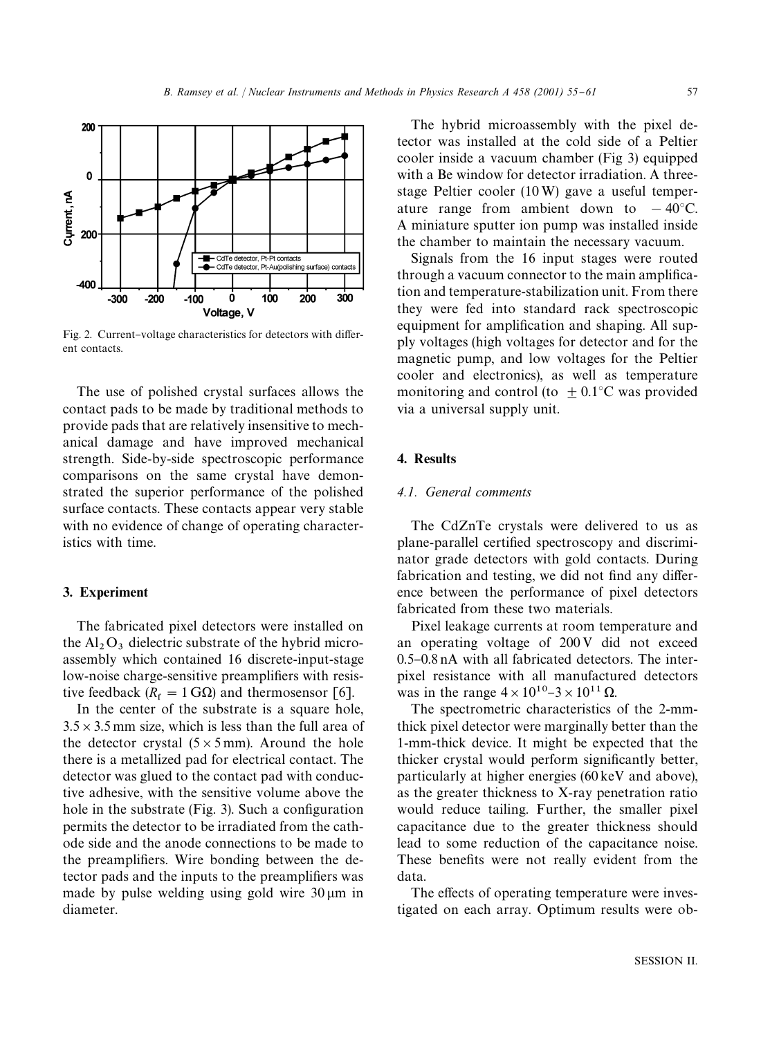

Fig. 2. Current-voltage characteristics for detectors with different contacts.

The use of polished crystal surfaces allows the contact pads to be made by traditional methods to provide pads that are relatively insensitive to mechanical damage and have improved mechanical strength. Side-by-side spectroscopic performance comparisons on the same crystal have demonstrated the superior performance of the polished surface contacts. These contacts appear very stable with no evidence of change of operating characteristics with time.

# 3. Experiment

The fabricated pixel detectors were installed on the  $Al_2O_3$  dielectric substrate of the hybrid microassembly which contained 16 discrete-input-stage low-noise charge-sensitive preamplifiers with resistive feedback ( $R_f = 1$  G $\Omega$ ) and thermosensor [6].

In the center of the substrate is a square hole,  $3.5 \times 3.5$  mm size, which is less than the full area of the detector crystal  $(5 \times 5 \text{ mm})$ . Around the hole there is a metallized pad for electrical contact. The detector was glued to the contact pad with conductive adhesive, with the sensitive volume above the hole in the substrate  $(Fig. 3)$ . Such a configuration permits the detector to be irradiated from the cathode side and the anode connections to be made to the preamplifiers. Wire bonding between the detector pads and the inputs to the preamplifiers was made by pulse welding using gold wire  $30 \mu m$  in diameter.

The hybrid microassembly with the pixel detector was installed at the cold side of a Peltier cooler inside a vacuum chamber (Fig 3) equipped with a Be window for detector irradiation. A threestage Peltier cooler (10W) gave a useful temperature range from ambient down to  $-40^{\circ}$ C. A miniature sputter ion pump was installed inside the chamber to maintain the necessary vacuum.

Signals from the 16 input stages were routed through a vacuum connector to the main amplification and temperature-stabilization unit. From there they were fed into standard rack spectroscopic equipment for amplification and shaping. All supply voltages (high voltages for detector and for the magnetic pump, and low voltages for the Peltier cooler and electronics), as well as temperature monitoring and control (to  $\pm$  0.1°C was provided via a universal supply unit.

# 4. Results

# *4.1. General comments*

The CdZnTe crystals were delivered to us as plane-parallel certified spectroscopy and discriminator grade detectors with gold contacts. During fabrication and testing, we did not find any difference between the performance of pixel detectors fabricated from these two materials.

Pixel leakage currents at room temperature and an operating voltage of 200 V did not exceed  $0.5-0.8$  nA with all fabricated detectors. The interpixel resistance with all manufactured detectors was in the range  $4 \times 10^{10}$ – $3 \times 10^{11}$   $\Omega$ .

The spectrometric characteristics of the 2-mmthick pixel detector were marginally better than the 1-mm-thick device. It might be expected that the thicker crystal would perform significantly better, particularly at higher energies (60 keV and above), as the greater thickness to X-ray penetration ratio would reduce tailing. Further, the smaller pixel capacitance due to the greater thickness should lead to some reduction of the capacitance noise. These benefits were not really evident from the data.

The effects of operating temperature were investigated on each array. Optimum results were ob-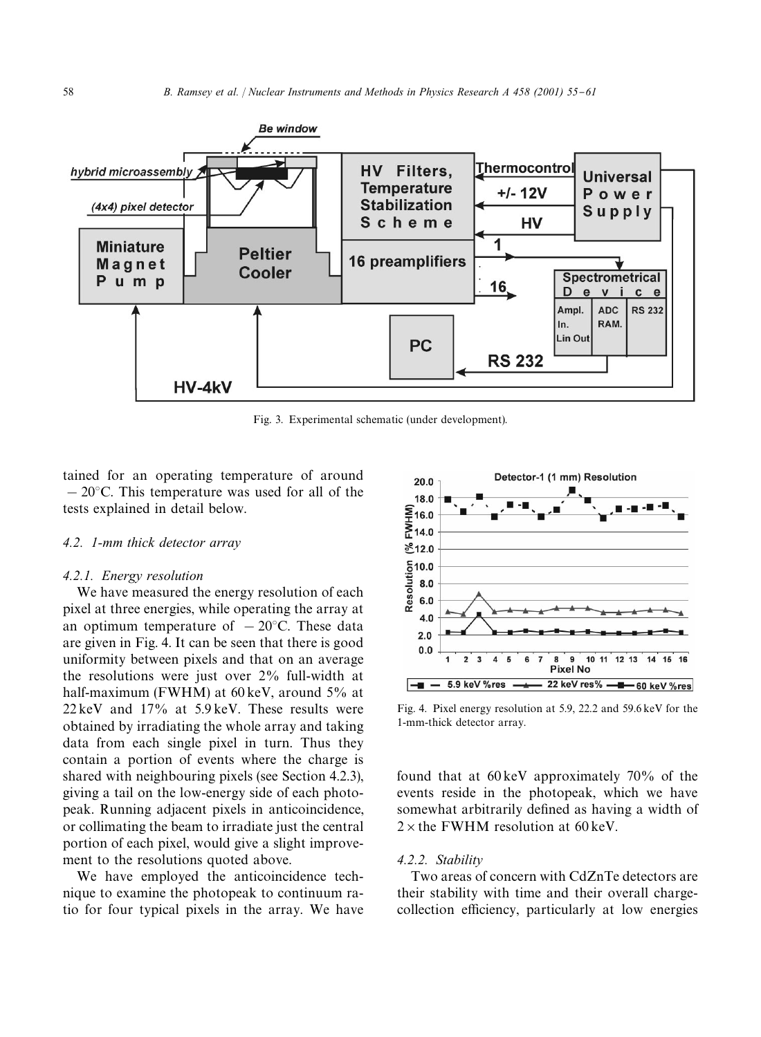

Fig. 3. Experimental schematic (under development).

tained for an operating temperature of around  $-20$ °C. This temperature was used for all of the tests explained in detail below.

### *4.2. 1-mm thick detector array*

#### *4.2.1. Energy resolution*

We have measured the energy resolution of each pixel at three energies, while operating the array at an optimum temperature of  $-20^{\circ}$ C. These data are given in Fig. 4. It can be seen that there is good uniformity between pixels and that on an average the resolutions were just over 2% full-width at half-maximum (FWHM) at 60 keV, around 5% at 22 keV and 17% at 5.9 keV. These results were obtained by irradiating the whole array and taking data from each single pixel in turn. Thus they contain a portion of events where the charge is shared with neighbouring pixels (see Section 4.2.3), giving a tail on the low-energy side of each photopeak. Running adjacent pixels in anticoincidence, or collimating the beam to irradiate just the central portion of each pixel, would give a slight improvement to the resolutions quoted above.

We have employed the anticoincidence technique to examine the photopeak to continuum ratio for four typical pixels in the array. We have



Fig. 4. Pixel energy resolution at 5.9, 22.2 and 59.6 keV for the 1-mm-thick detector array.

found that at 60 keV approximately 70% of the events reside in the photopeak, which we have somewhat arbitrarily defined as having a width of  $2 \times$  the FWHM resolution at 60 keV.

# *4.2.2. Stability*

Two areas of concern with CdZnTe detectors are their stability with time and their overall chargecollection efficiency, particularly at low energies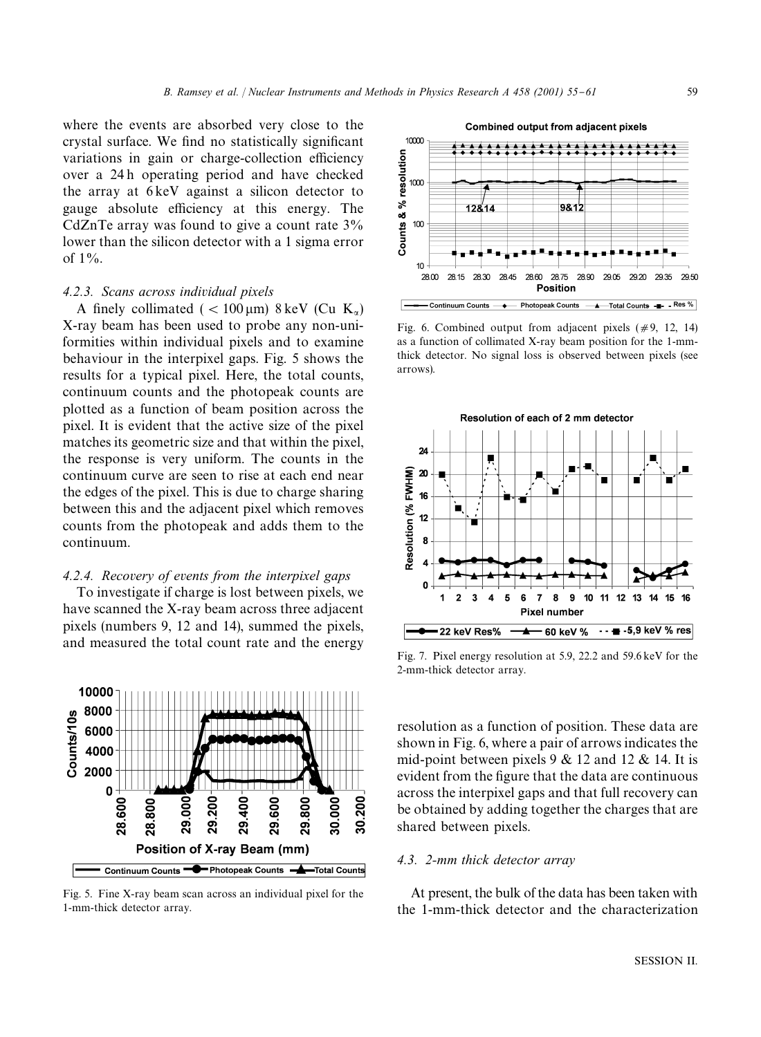where the events are absorbed very close to the crystal surface. We find no statistically significant variations in gain or charge-collection efficiency over a 24 h operating period and have checked the array at 6 keV against a silicon detector to gauge absolute efficiency at this energy. The CdZnTe array was found to give a count rate 3% lower than the silicon detector with a 1 sigma error of  $1\%$ .

## *4.2.3. Scans across individual pixels*

A finely collimated ( $< 100 \,\mu m$ ) 8 keV (Cu K<sub>a</sub>) X-ray beam has been used to probe any non-uniformities within individual pixels and to examine behaviour in the interpixel gaps. Fig. 5 shows the results for a typical pixel. Here, the total counts, continuum counts and the photopeak counts are plotted as a function of beam position across the pixel. It is evident that the active size of the pixel matches its geometric size and that within the pixel, the response is very uniform. The counts in the continuum curve are seen to rise at each end near the edges of the pixel. This is due to charge sharing between this and the adjacent pixel which removes counts from the photopeak and adds them to the continuum.

# *4.2.4. Recovery of events from the interpixel gaps*

To investigate if charge is lost between pixels, we have scanned the X-ray beam across three adjacent pixels (numbers 9, 12 and 14), summed the pixels, and measured the total count rate and the energy



Fig. 5. Fine X-ray beam scan across an individual pixel for the 1-mm-thick detector array.



Fig. 6. Combined output from adjacent pixels  $(\#9, 12, 14)$ as a function of collimated X-ray beam position for the 1-mmthick detector. No signal loss is observed between pixels (see arrows).



Fig. 7. Pixel energy resolution at 5.9, 22.2 and 59.6 keV for the 2-mm-thick detector array.

resolution as a function of position. These data are shown in Fig. 6, where a pair of arrows indicates the mid-point between pixels  $9 \& 12$  and  $12 \& 14$ . It is evident from the figure that the data are continuous across the interpixel gaps and that full recovery can be obtained by adding together the charges that are shared between pixels.

# *4.3. 2-mm thick detector array*

At present, the bulk of the data has been taken with the 1-mm-thick detector and the characterization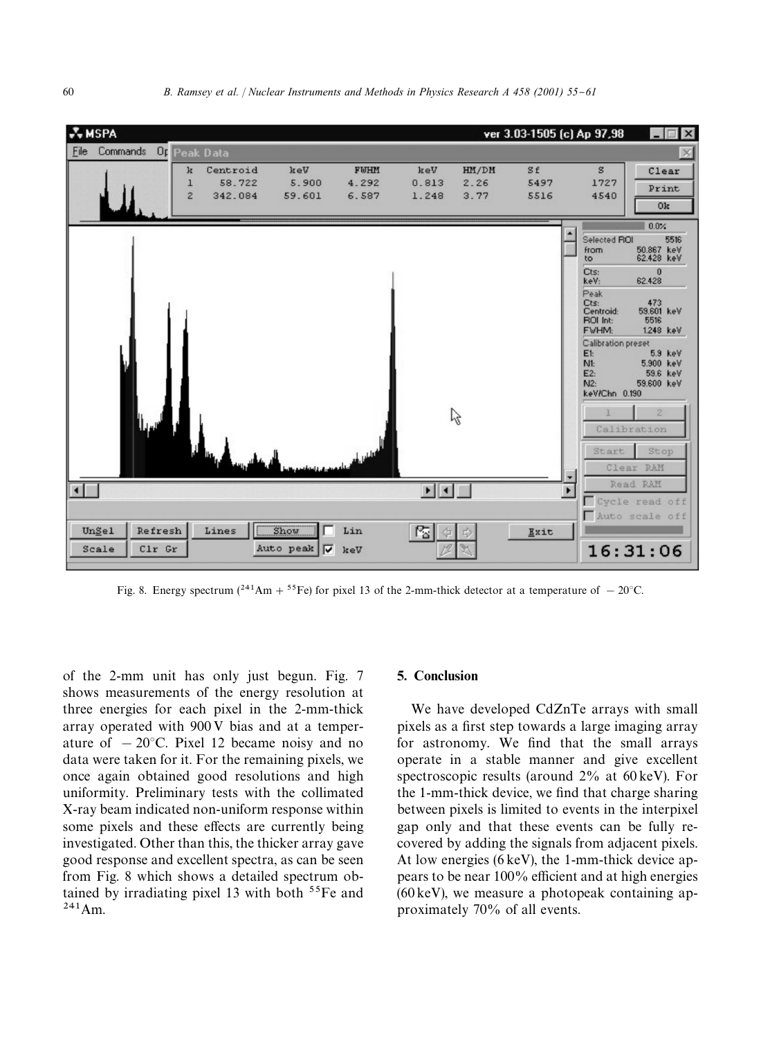

Fig. 8. Energy spectrum  $(^{241}Am + ^{55}Fe)$  for pixel 13 of the 2-mm-thick detector at a temperature of  $-20^{\circ}$ C.

of the 2-mm unit has only just begun. Fig. 7 shows measurements of the energy resolution at three energies for each pixel in the 2-mm-thick array operated with 900 V bias and at a temperature of  $-20^{\circ}$ C. Pixel 12 became noisy and no data were taken for it. For the remaining pixels, we once again obtained good resolutions and high uniformity. Preliminary tests with the collimated X-ray beam indicated non-uniform response within some pixels and these effects are currently being investigated. Other than this, the thicker array gave good response and excellent spectra, as can be seen from Fig. 8 which shows a detailed spectrum obtained by irradiating pixel 13 with both  $55Fe$  and  $241$  Am.

## 5. Conclusion

We have developed CdZnTe arrays with small pixels as a first step towards a large imaging array for astronomy. We find that the small arrays operate in a stable manner and give excellent spectroscopic results (around 2% at 60 keV). For the 1-mm-thick device, we find that charge sharing between pixels is limited to events in the interpixel gap only and that these events can be fully recovered by adding the signals from adjacent pixels. At low energies (6 keV), the 1-mm-thick device appears to be near  $100\%$  efficient and at high energies (60 keV), we measure a photopeak containing approximately 70% of all events.